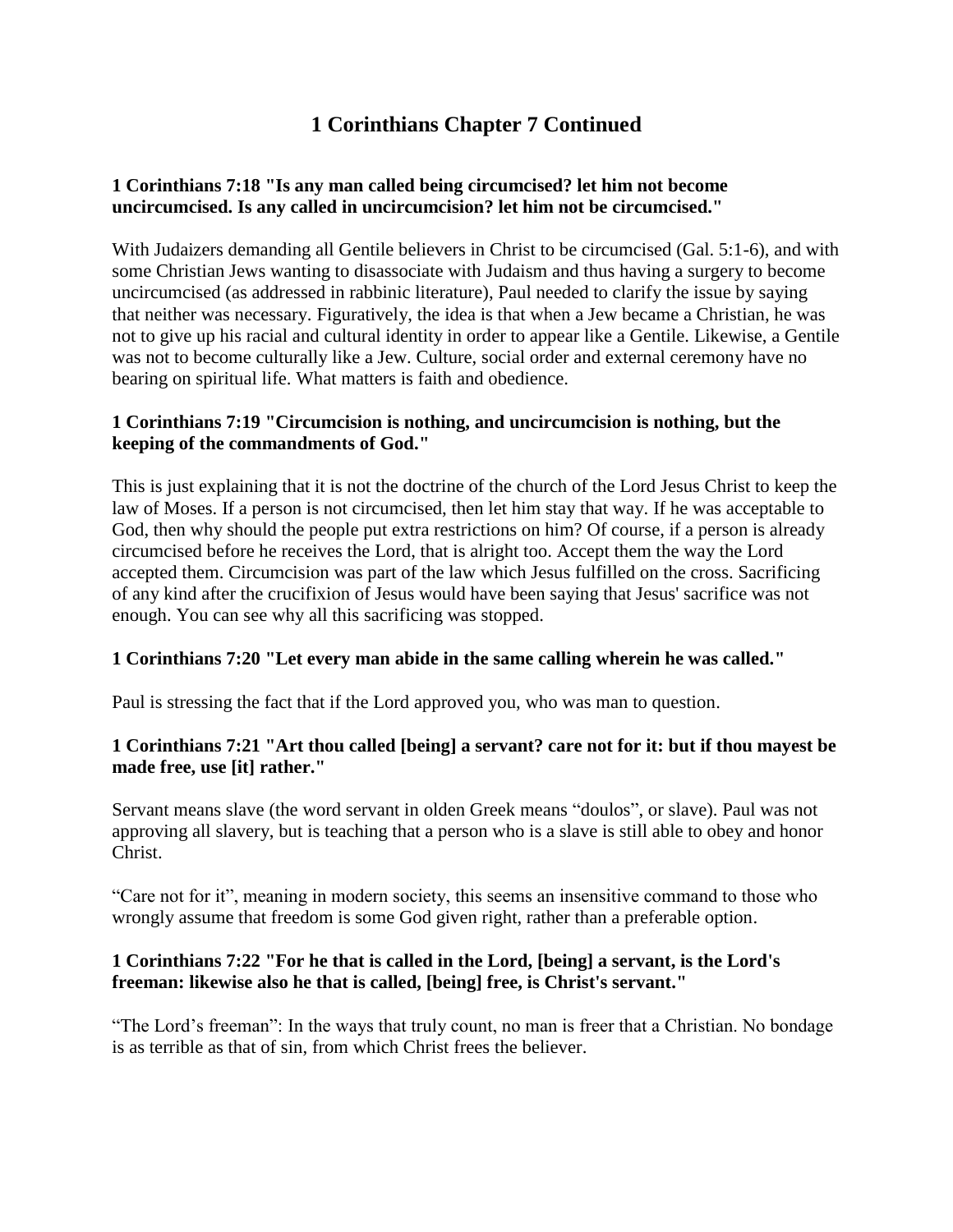# **1 Corinthians Chapter 7 Continued**

## **1 Corinthians 7:18 "Is any man called being circumcised? let him not become uncircumcised. Is any called in uncircumcision? let him not be circumcised."**

With Judaizers demanding all Gentile believers in Christ to be circumcised (Gal. 5:1-6), and with some Christian Jews wanting to disassociate with Judaism and thus having a surgery to become uncircumcised (as addressed in rabbinic literature), Paul needed to clarify the issue by saying that neither was necessary. Figuratively, the idea is that when a Jew became a Christian, he was not to give up his racial and cultural identity in order to appear like a Gentile. Likewise, a Gentile was not to become culturally like a Jew. Culture, social order and external ceremony have no bearing on spiritual life. What matters is faith and obedience.

## **1 Corinthians 7:19 "Circumcision is nothing, and uncircumcision is nothing, but the keeping of the commandments of God."**

This is just explaining that it is not the doctrine of the church of the Lord Jesus Christ to keep the law of Moses. If a person is not circumcised, then let him stay that way. If he was acceptable to God, then why should the people put extra restrictions on him? Of course, if a person is already circumcised before he receives the Lord, that is alright too. Accept them the way the Lord accepted them. Circumcision was part of the law which Jesus fulfilled on the cross. Sacrificing of any kind after the crucifixion of Jesus would have been saying that Jesus' sacrifice was not enough. You can see why all this sacrificing was stopped.

## **1 Corinthians 7:20 "Let every man abide in the same calling wherein he was called."**

Paul is stressing the fact that if the Lord approved you, who was man to question.

## **1 Corinthians 7:21 "Art thou called [being] a servant? care not for it: but if thou mayest be made free, use [it] rather."**

Servant means slave (the word servant in olden Greek means "doulos", or slave). Paul was not approving all slavery, but is teaching that a person who is a slave is still able to obey and honor Christ.

"Care not for it", meaning in modern society, this seems an insensitive command to those who wrongly assume that freedom is some God given right, rather than a preferable option.

## **1 Corinthians 7:22 "For he that is called in the Lord, [being] a servant, is the Lord's freeman: likewise also he that is called, [being] free, is Christ's servant."**

"The Lord's freeman": In the ways that truly count, no man is freer that a Christian. No bondage is as terrible as that of sin, from which Christ frees the believer.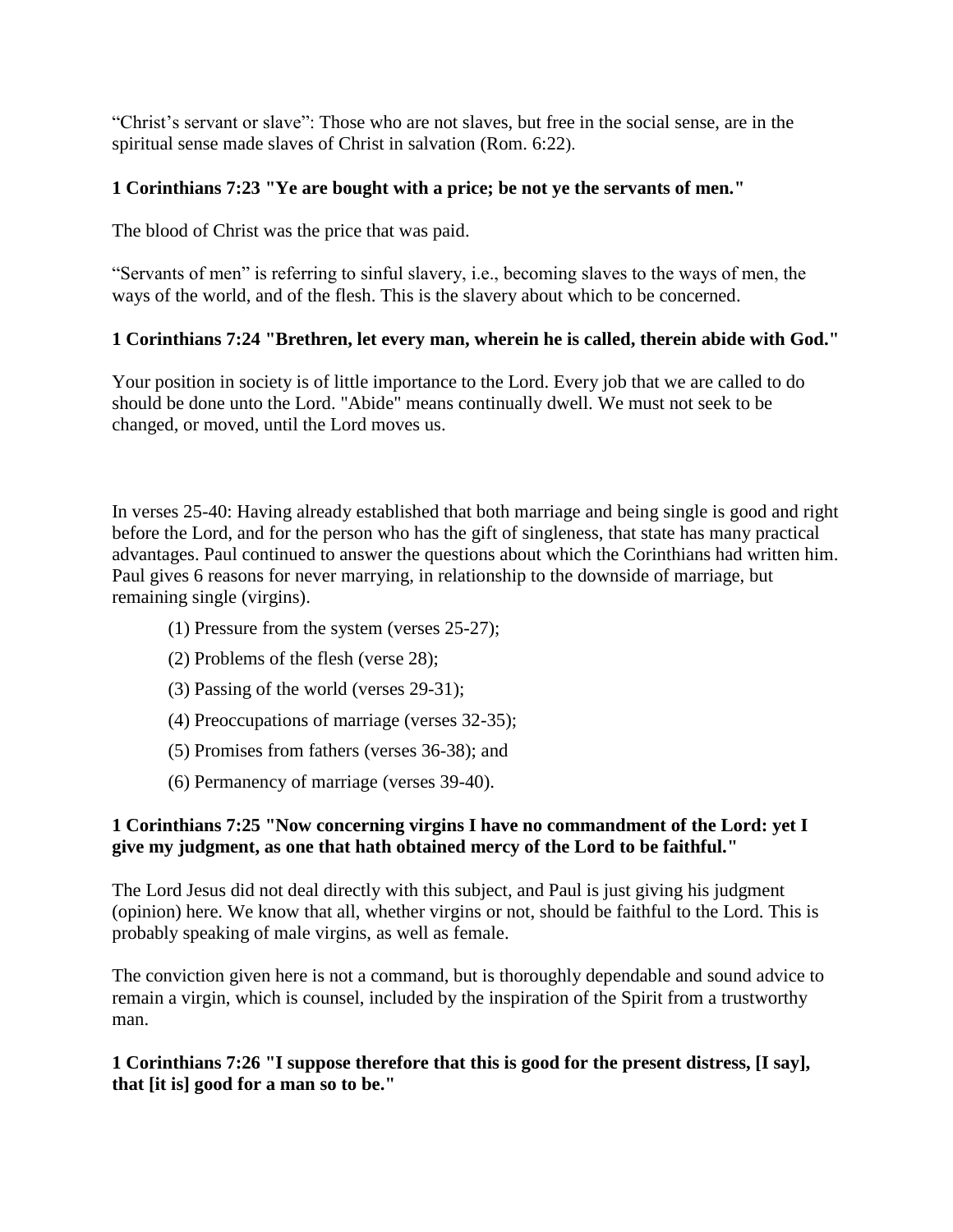"Christ's servant or slave": Those who are not slaves, but free in the social sense, are in the spiritual sense made slaves of Christ in salvation (Rom. 6:22).

## **1 Corinthians 7:23 "Ye are bought with a price; be not ye the servants of men."**

The blood of Christ was the price that was paid.

"Servants of men" is referring to sinful slavery, i.e., becoming slaves to the ways of men, the ways of the world, and of the flesh. This is the slavery about which to be concerned.

# **1 Corinthians 7:24 "Brethren, let every man, wherein he is called, therein abide with God."**

Your position in society is of little importance to the Lord. Every job that we are called to do should be done unto the Lord. "Abide" means continually dwell. We must not seek to be changed, or moved, until the Lord moves us.

In verses 25-40: Having already established that both marriage and being single is good and right before the Lord, and for the person who has the gift of singleness, that state has many practical advantages. Paul continued to answer the questions about which the Corinthians had written him. Paul gives 6 reasons for never marrying, in relationship to the downside of marriage, but remaining single (virgins).

- (1) Pressure from the system (verses 25-27);
- (2) Problems of the flesh (verse 28);
- (3) Passing of the world (verses 29-31);
- (4) Preoccupations of marriage (verses 32-35);
- (5) Promises from fathers (verses 36-38); and
- (6) Permanency of marriage (verses 39-40).

## **1 Corinthians 7:25 "Now concerning virgins I have no commandment of the Lord: yet I give my judgment, as one that hath obtained mercy of the Lord to be faithful."**

The Lord Jesus did not deal directly with this subject, and Paul is just giving his judgment (opinion) here. We know that all, whether virgins or not, should be faithful to the Lord. This is probably speaking of male virgins, as well as female.

The conviction given here is not a command, but is thoroughly dependable and sound advice to remain a virgin, which is counsel, included by the inspiration of the Spirit from a trustworthy man.

## **1 Corinthians 7:26 "I suppose therefore that this is good for the present distress, [I say], that [it is] good for a man so to be."**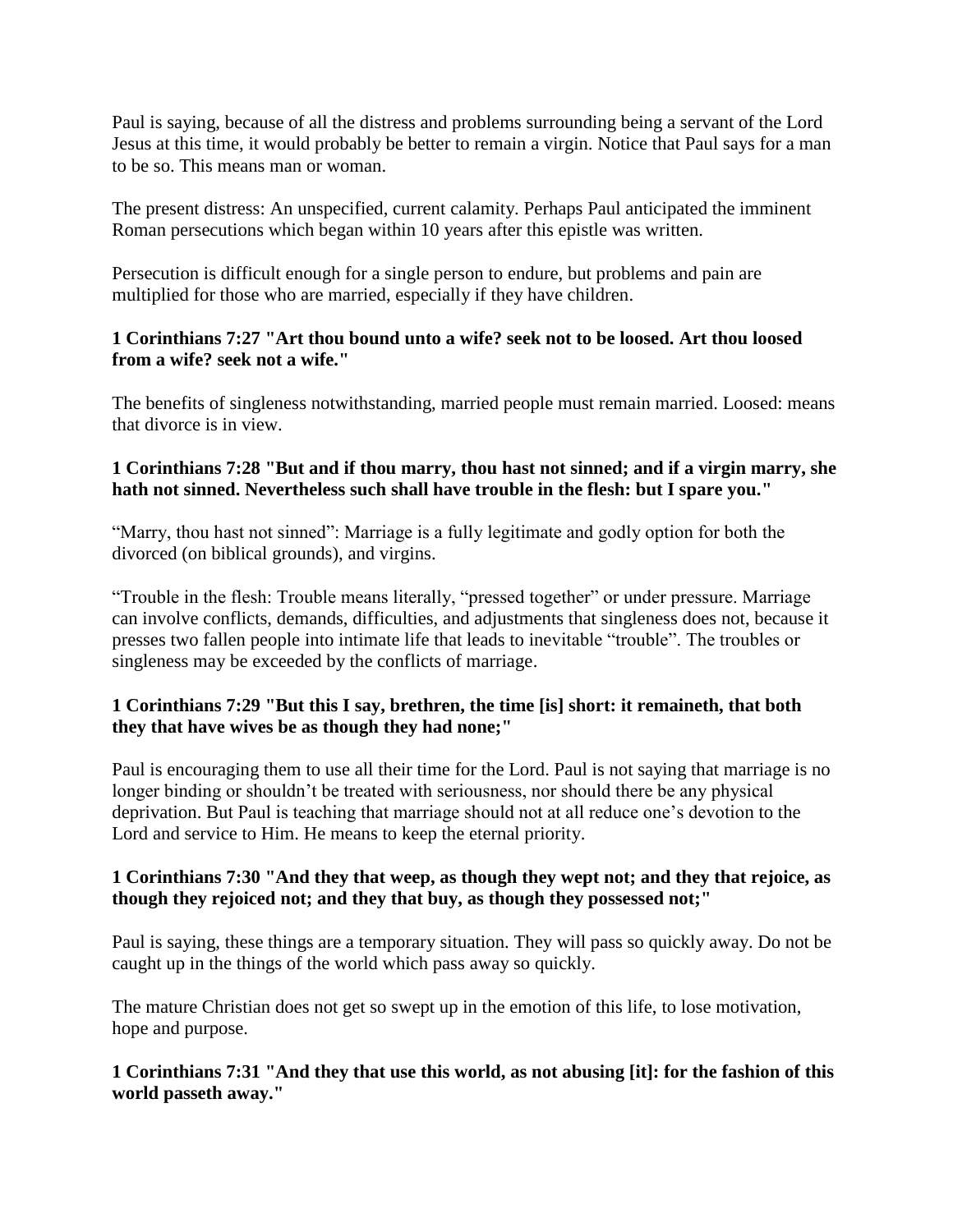Paul is saying, because of all the distress and problems surrounding being a servant of the Lord Jesus at this time, it would probably be better to remain a virgin. Notice that Paul says for a man to be so. This means man or woman.

The present distress: An unspecified, current calamity. Perhaps Paul anticipated the imminent Roman persecutions which began within 10 years after this epistle was written.

Persecution is difficult enough for a single person to endure, but problems and pain are multiplied for those who are married, especially if they have children.

## **1 Corinthians 7:27 "Art thou bound unto a wife? seek not to be loosed. Art thou loosed from a wife? seek not a wife."**

The benefits of singleness notwithstanding, married people must remain married. Loosed: means that divorce is in view.

# **1 Corinthians 7:28 "But and if thou marry, thou hast not sinned; and if a virgin marry, she hath not sinned. Nevertheless such shall have trouble in the flesh: but I spare you."**

"Marry, thou hast not sinned": Marriage is a fully legitimate and godly option for both the divorced (on biblical grounds), and virgins.

"Trouble in the flesh: Trouble means literally, "pressed together" or under pressure. Marriage can involve conflicts, demands, difficulties, and adjustments that singleness does not, because it presses two fallen people into intimate life that leads to inevitable "trouble". The troubles or singleness may be exceeded by the conflicts of marriage.

# **1 Corinthians 7:29 "But this I say, brethren, the time [is] short: it remaineth, that both they that have wives be as though they had none;"**

Paul is encouraging them to use all their time for the Lord. Paul is not saying that marriage is no longer binding or shouldn't be treated with seriousness, nor should there be any physical deprivation. But Paul is teaching that marriage should not at all reduce one's devotion to the Lord and service to Him. He means to keep the eternal priority.

# **1 Corinthians 7:30 "And they that weep, as though they wept not; and they that rejoice, as though they rejoiced not; and they that buy, as though they possessed not;"**

Paul is saying, these things are a temporary situation. They will pass so quickly away. Do not be caught up in the things of the world which pass away so quickly.

The mature Christian does not get so swept up in the emotion of this life, to lose motivation, hope and purpose.

## **1 Corinthians 7:31 "And they that use this world, as not abusing [it]: for the fashion of this world passeth away."**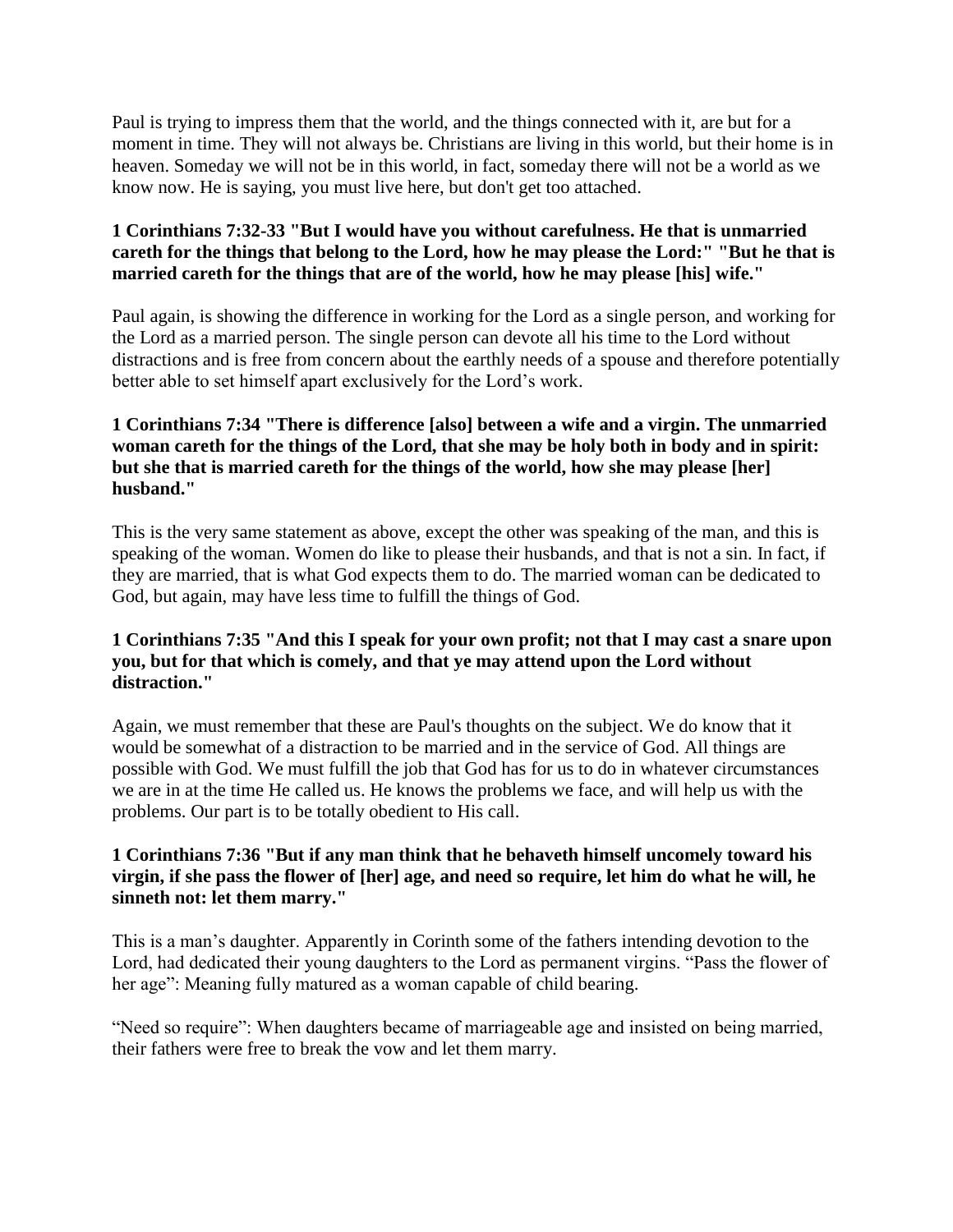Paul is trying to impress them that the world, and the things connected with it, are but for a moment in time. They will not always be. Christians are living in this world, but their home is in heaven. Someday we will not be in this world, in fact, someday there will not be a world as we know now. He is saying, you must live here, but don't get too attached.

## **1 Corinthians 7:32-33 "But I would have you without carefulness. He that is unmarried careth for the things that belong to the Lord, how he may please the Lord:" "But he that is married careth for the things that are of the world, how he may please [his] wife."**

Paul again, is showing the difference in working for the Lord as a single person, and working for the Lord as a married person. The single person can devote all his time to the Lord without distractions and is free from concern about the earthly needs of a spouse and therefore potentially better able to set himself apart exclusively for the Lord's work.

## **1 Corinthians 7:34 "There is difference [also] between a wife and a virgin. The unmarried woman careth for the things of the Lord, that she may be holy both in body and in spirit: but she that is married careth for the things of the world, how she may please [her] husband."**

This is the very same statement as above, except the other was speaking of the man, and this is speaking of the woman. Women do like to please their husbands, and that is not a sin. In fact, if they are married, that is what God expects them to do. The married woman can be dedicated to God, but again, may have less time to fulfill the things of God.

#### **1 Corinthians 7:35 "And this I speak for your own profit; not that I may cast a snare upon you, but for that which is comely, and that ye may attend upon the Lord without distraction."**

Again, we must remember that these are Paul's thoughts on the subject. We do know that it would be somewhat of a distraction to be married and in the service of God. All things are possible with God. We must fulfill the job that God has for us to do in whatever circumstances we are in at the time He called us. He knows the problems we face, and will help us with the problems. Our part is to be totally obedient to His call.

## **1 Corinthians 7:36 "But if any man think that he behaveth himself uncomely toward his virgin, if she pass the flower of [her] age, and need so require, let him do what he will, he sinneth not: let them marry."**

This is a man's daughter. Apparently in Corinth some of the fathers intending devotion to the Lord, had dedicated their young daughters to the Lord as permanent virgins. "Pass the flower of her age": Meaning fully matured as a woman capable of child bearing.

"Need so require": When daughters became of marriageable age and insisted on being married, their fathers were free to break the vow and let them marry.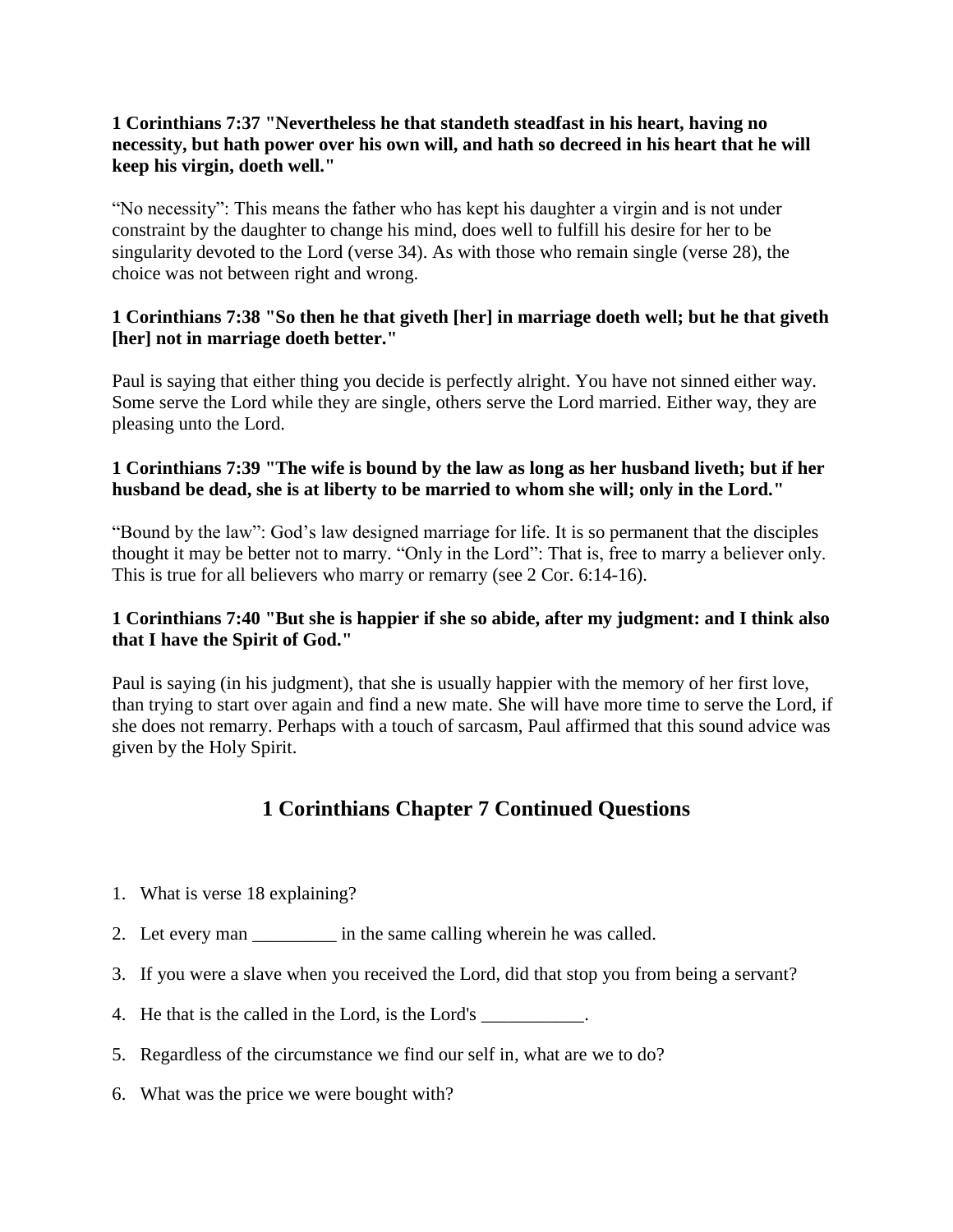#### **1 Corinthians 7:37 "Nevertheless he that standeth steadfast in his heart, having no necessity, but hath power over his own will, and hath so decreed in his heart that he will keep his virgin, doeth well."**

"No necessity": This means the father who has kept his daughter a virgin and is not under constraint by the daughter to change his mind, does well to fulfill his desire for her to be singularity devoted to the Lord (verse 34). As with those who remain single (verse 28), the choice was not between right and wrong.

#### **1 Corinthians 7:38 "So then he that giveth [her] in marriage doeth well; but he that giveth [her] not in marriage doeth better."**

Paul is saying that either thing you decide is perfectly alright. You have not sinned either way. Some serve the Lord while they are single, others serve the Lord married. Either way, they are pleasing unto the Lord.

## **1 Corinthians 7:39 "The wife is bound by the law as long as her husband liveth; but if her husband be dead, she is at liberty to be married to whom she will; only in the Lord."**

"Bound by the law": God's law designed marriage for life. It is so permanent that the disciples thought it may be better not to marry. "Only in the Lord": That is, free to marry a believer only. This is true for all believers who marry or remarry (see 2 Cor. 6:14-16).

## **1 Corinthians 7:40 "But she is happier if she so abide, after my judgment: and I think also that I have the Spirit of God."**

Paul is saying (in his judgment), that she is usually happier with the memory of her first love, than trying to start over again and find a new mate. She will have more time to serve the Lord, if she does not remarry. Perhaps with a touch of sarcasm, Paul affirmed that this sound advice was given by the Holy Spirit.

# **1 Corinthians Chapter 7 Continued Questions**

- 1. What is verse 18 explaining?
- 2. Let every man \_\_\_\_\_\_\_\_\_\_\_ in the same calling wherein he was called.
- 3. If you were a slave when you received the Lord, did that stop you from being a servant?
- 4. He that is the called in the Lord, is the Lord's \_\_\_\_\_\_\_\_\_\_\_.
- 5. Regardless of the circumstance we find our self in, what are we to do?
- 6. What was the price we were bought with?